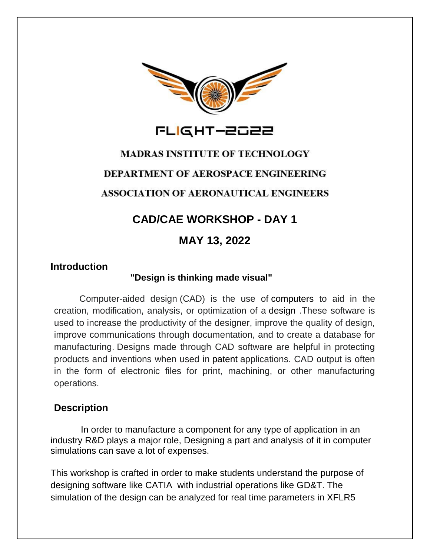



## **MADRAS INSTITUTE OF TECHNOLOGY**

#### **DEPARTMENT OF AEROSPACE ENGINEERING**

## **ASSOCIATION OF AERONAUTICAL ENGINEERS**

# **CAD/CAE WORKSHOP - DAY 1**

## **MAY 13, 2022**

## **Introduction**

#### **"Design is thinking made visual"**

 Computer-aided design (CAD) is the use of computers to aid in the creation, modification, analysis, or optimization of a design .These software is used to increase the productivity of the designer, improve the quality of design, improve communications through documentation, and to create a database for manufacturing. Designs made through CAD software are helpful in protecting products and inventions when used in patent applications. CAD output is often in the form of electronic files for print, machining, or other manufacturing operations.

## **Description**

 In order to manufacture a component for any type of application in an industry R&D plays a major role, Designing a part and analysis of it in computer simulations can save a lot of expenses.

This workshop is crafted in order to make students understand the purpose of designing software like CATIA with industrial operations like GD&T. The simulation of the design can be analyzed for real time parameters in XFLR5